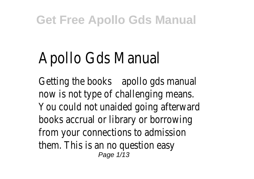# Apollo Gds Manual

Getting the books apollo gds manual now is not type of challenging means. You could not unaided going afterward books accrual or library or borrowing from your connections to admission them. This is an no question easy Page 1/13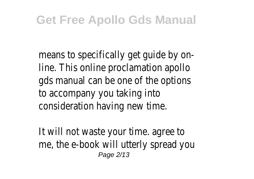means to specifically get guide by online. This online proclamation apollo gds manual can be one of the options to accompany you taking into consideration having new time.

It will not waste your time. agree to me, the e-book will utterly spread you Page 2/13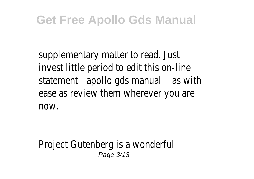supplementary matter to read. Just invest little period to edit this on-line statement apollo gds manual as with ease as review them wherever you are now.

Project Gutenberg is a wonderful Page 3/13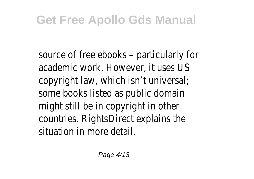source of free ebooks – particularly for academic work. However, it uses US copyright law, which isn't universal; some books listed as public domain might still be in copyright in other countries. RightsDirect explains the situation in more detail.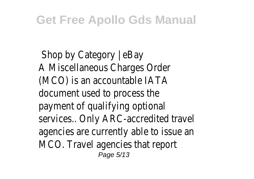Shop by Category | eBay A Miscellaneous Charges Order (MCO) is an accountable IATA document used to process the payment of qualifying optional services.. Only ARC-accredited travel agencies are currently able to issue an MCO. Travel agencies that report Page 5/13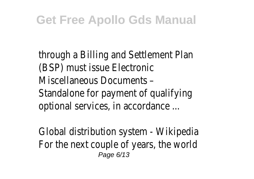through a Billing and Settlement Plan (BSP) must issue Electronic Miscellaneous Documents – Standalone for payment of qualifying optional services, in accordance ...

Global distribution system - Wikipedia For the next couple of years, the world Page 6/13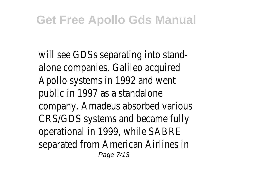will see GDSs separating into standalone companies. Galileo acquired Apollo systems in 1992 and went public in 1997 as a standalone company. Amadeus absorbed various CRS/GDS systems and became fully operational in 1999, while SABRE separated from American Airlines in Page 7/13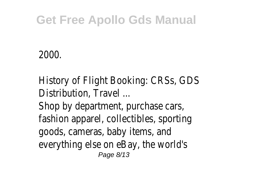#### 2000.

History of Flight Booking: CRSs, GDS Distribution, Travel ... Shop by department, purchase cars, fashion apparel, collectibles, sporting goods, cameras, baby items, and everything else on eBay, the world's Page 8/13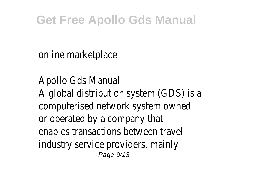online marketplace

Apollo Gds Manual A global distribution system (GDS) is a computerised network system owned or operated by a company that enables transactions between travel industry service providers, mainly Page 9/13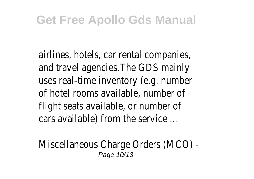airlines, hotels, car rental companies, and travel agencies.The GDS mainly uses real-time inventory (e.g. number of hotel rooms available, number of flight seats available, or number of cars available) from the service ...

Miscellaneous Charge Orders (MCO) - Page 10/13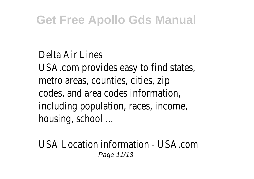Delta Air Lines USA.com provides easy to find states, metro areas, counties, cities, zip codes, and area codes information, including population, races, income, housing, school ...

USA Location information - USA.com Page 11/13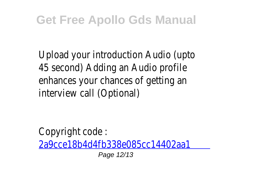Upload your introduction Audio (upto 45 second) Adding an Audio profile enhances your chances of getting an interview call (Optional)

Copyright code : [2a9cce18b4d4fb338e085cc14402aa1](/search-book/2a9cce18b4d4fb338e085cc14402aa1b) Page 12/13